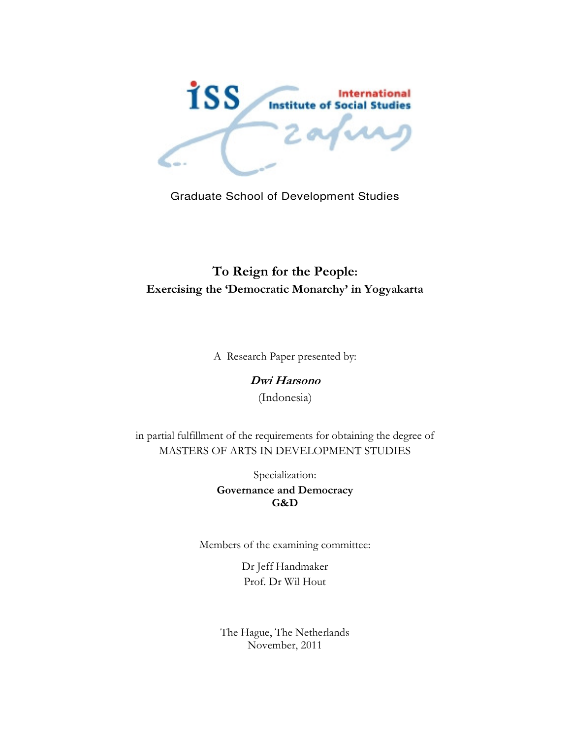iss. **International Institute of Social Studies** zafus

Graduate School of Development Studies

# To Reign for the People: Exercising the 'Democratic Monarchy' in Yogyakarta

A Research Paper presented by:

Dwi Harsono (Indonesia)

in partial fulfillment of the requirements for obtaining the degree of MASTERS OF ARTS IN DEVELOPMENT STUDIES

> Specialization: Governance and Democracy G&D

Members of the examining committee:

Dr Jeff Handmaker Prof. Dr Wil Hout

The Hague, The Netherlands November, 2011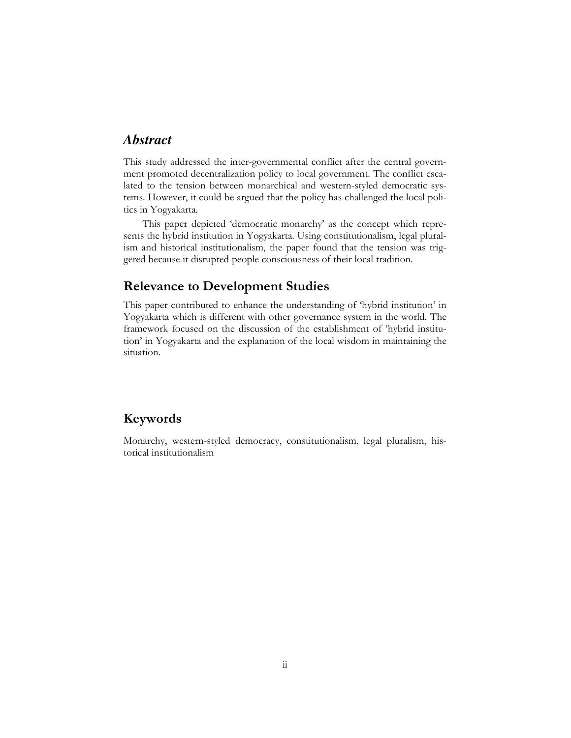## *Abstract*

This study addressed the inter-governmental conflict after the central government promoted decentralization policy to local government. The conflict escalated to the tension between monarchical and western-styled democratic systems. However, it could be argued that the policy has challenged the local politics in Yogyakarta.

This paper depicted 'democratic monarchy' as the concept which represents the hybrid institution in Yogyakarta. Using constitutionalism, legal pluralism and historical institutionalism, the paper found that the tension was triggered because it disrupted people consciousness of their local tradition.

### Relevance to Development Studies

This paper contributed to enhance the understanding of 'hybrid institution' in Yogyakarta which is different with other governance system in the world. The framework focused on the discussion of the establishment of 'hybrid institution' in Yogyakarta and the explanation of the local wisdom in maintaining the situation.

### Keywords

Monarchy, western-styled democracy, constitutionalism, legal pluralism, historical institutionalism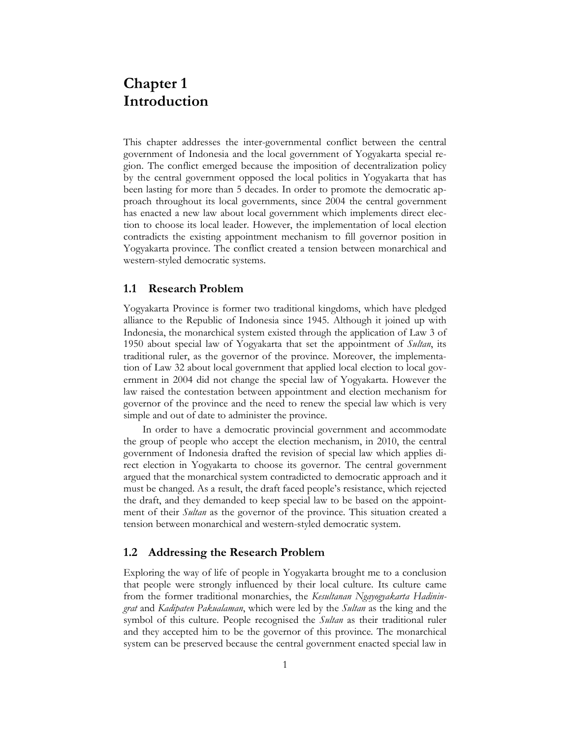# Chapter 1 Introduction

This chapter addresses the inter-governmental conflict between the central government of Indonesia and the local government of Yogyakarta special region. The conflict emerged because the imposition of decentralization policy by the central government opposed the local politics in Yogyakarta that has been lasting for more than 5 decades. In order to promote the democratic approach throughout its local governments, since 2004 the central government has enacted a new law about local government which implements direct election to choose its local leader. However, the implementation of local election contradicts the existing appointment mechanism to fill governor position in Yogyakarta province. The conflict created a tension between monarchical and western-styled democratic systems.

#### 1.1 Research Problem

Yogyakarta Province is former two traditional kingdoms, which have pledged alliance to the Republic of Indonesia since 1945. Although it joined up with Indonesia, the monarchical system existed through the application of Law 3 of 1950 about special law of Yogyakarta that set the appointment of *Sultan*, its traditional ruler, as the governor of the province. Moreover, the implementation of Law 32 about local government that applied local election to local government in 2004 did not change the special law of Yogyakarta. However the law raised the contestation between appointment and election mechanism for governor of the province and the need to renew the special law which is very simple and out of date to administer the province.

In order to have a democratic provincial government and accommodate the group of people who accept the election mechanism, in 2010, the central government of Indonesia drafted the revision of special law which applies direct election in Yogyakarta to choose its governor. The central government argued that the monarchical system contradicted to democratic approach and it must be changed. As a result, the draft faced people's resistance, which rejected the draft, and they demanded to keep special law to be based on the appointment of their *Sultan* as the governor of the province. This situation created a tension between monarchical and western-styled democratic system.

#### 1.2 Addressing the Research Problem

Exploring the way of life of people in Yogyakarta brought me to a conclusion that people were strongly influenced by their local culture. Its culture came from the former traditional monarchies, the Kesultanan Ngayogyakarta Hadinin*grat* and *Kadipaten Pakualaman*, which were led by the *Sultan* as the king and the symbol of this culture. People recognised the Sultan as their traditional ruler and they accepted him to be the governor of this province. The monarchical system can be preserved because the central government enacted special law in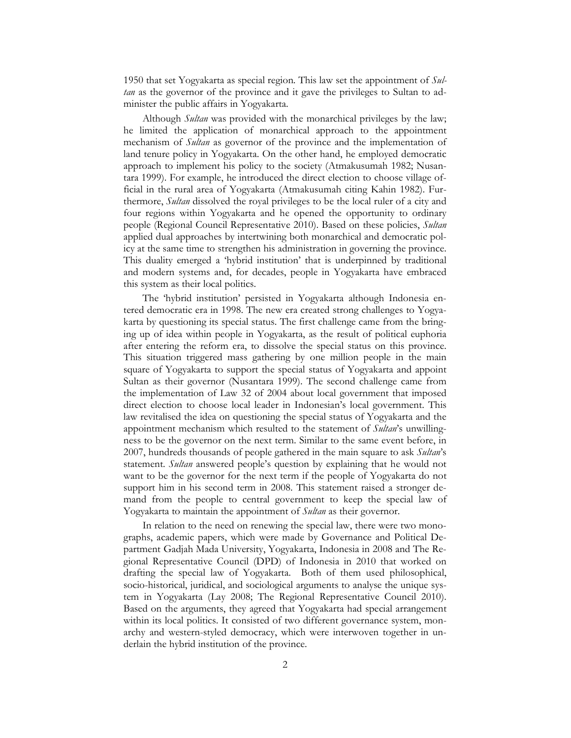1950 that set Yogyakarta as special region. This law set the appointment of Sultan as the governor of the province and it gave the privileges to Sultan to administer the public affairs in Yogyakarta.

Although *Sultan* was provided with the monarchical privileges by the law; he limited the application of monarchical approach to the appointment mechanism of *Sultan* as governor of the province and the implementation of land tenure policy in Yogyakarta. On the other hand, he employed democratic approach to implement his policy to the society (Atmakusumah 1982; Nusantara 1999). For example, he introduced the direct election to choose village official in the rural area of Yogyakarta (Atmakusumah citing Kahin 1982). Furthermore, Sultan dissolved the royal privileges to be the local ruler of a city and four regions within Yogyakarta and he opened the opportunity to ordinary people (Regional Council Representative 2010). Based on these policies, Sultan applied dual approaches by intertwining both monarchical and democratic policy at the same time to strengthen his administration in governing the province. This duality emerged a 'hybrid institution' that is underpinned by traditional and modern systems and, for decades, people in Yogyakarta have embraced this system as their local politics.

The 'hybrid institution' persisted in Yogyakarta although Indonesia entered democratic era in 1998. The new era created strong challenges to Yogyakarta by questioning its special status. The first challenge came from the bringing up of idea within people in Yogyakarta, as the result of political euphoria after entering the reform era, to dissolve the special status on this province. This situation triggered mass gathering by one million people in the main square of Yogyakarta to support the special status of Yogyakarta and appoint Sultan as their governor (Nusantara 1999). The second challenge came from the implementation of Law 32 of 2004 about local government that imposed direct election to choose local leader in Indonesian's local government. This law revitalised the idea on questioning the special status of Yogyakarta and the appointment mechanism which resulted to the statement of *Sultan's* unwillingness to be the governor on the next term. Similar to the same event before, in 2007, hundreds thousands of people gathered in the main square to ask *Sultan's* statement. *Sultan* answered people's question by explaining that he would not want to be the governor for the next term if the people of Yogyakarta do not support him in his second term in 2008. This statement raised a stronger demand from the people to central government to keep the special law of Yogyakarta to maintain the appointment of *Sultan* as their governor.

In relation to the need on renewing the special law, there were two monographs, academic papers, which were made by Governance and Political Department Gadjah Mada University, Yogyakarta, Indonesia in 2008 and The Regional Representative Council (DPD) of Indonesia in 2010 that worked on drafting the special law of Yogyakarta. Both of them used philosophical, socio-historical, juridical, and sociological arguments to analyse the unique system in Yogyakarta (Lay 2008; The Regional Representative Council 2010). Based on the arguments, they agreed that Yogyakarta had special arrangement within its local politics. It consisted of two different governance system, monarchy and western-styled democracy, which were interwoven together in underlain the hybrid institution of the province.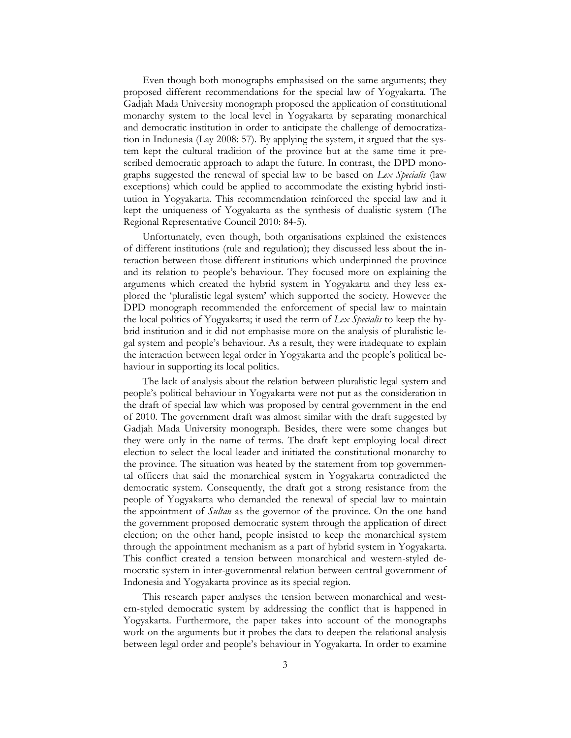Even though both monographs emphasised on the same arguments; they proposed different recommendations for the special law of Yogyakarta. The Gadjah Mada University monograph proposed the application of constitutional monarchy system to the local level in Yogyakarta by separating monarchical and democratic institution in order to anticipate the challenge of democratization in Indonesia (Lay 2008: 57). By applying the system, it argued that the system kept the cultural tradition of the province but at the same time it prescribed democratic approach to adapt the future. In contrast, the DPD monographs suggested the renewal of special law to be based on Lex Specialis (law exceptions) which could be applied to accommodate the existing hybrid institution in Yogyakarta. This recommendation reinforced the special law and it kept the uniqueness of Yogyakarta as the synthesis of dualistic system (The Regional Representative Council 2010: 84-5).

Unfortunately, even though, both organisations explained the existences of different institutions (rule and regulation); they discussed less about the interaction between those different institutions which underpinned the province and its relation to people's behaviour. They focused more on explaining the arguments which created the hybrid system in Yogyakarta and they less explored the 'pluralistic legal system' which supported the society. However the DPD monograph recommended the enforcement of special law to maintain the local politics of Yogyakarta; it used the term of Lex Specialis to keep the hybrid institution and it did not emphasise more on the analysis of pluralistic legal system and people's behaviour. As a result, they were inadequate to explain the interaction between legal order in Yogyakarta and the people's political behaviour in supporting its local politics.

The lack of analysis about the relation between pluralistic legal system and people's political behaviour in Yogyakarta were not put as the consideration in the draft of special law which was proposed by central government in the end of 2010. The government draft was almost similar with the draft suggested by Gadjah Mada University monograph. Besides, there were some changes but they were only in the name of terms. The draft kept employing local direct election to select the local leader and initiated the constitutional monarchy to the province. The situation was heated by the statement from top governmental officers that said the monarchical system in Yogyakarta contradicted the democratic system. Consequently, the draft got a strong resistance from the people of Yogyakarta who demanded the renewal of special law to maintain the appointment of *Sultan* as the governor of the province. On the one hand the government proposed democratic system through the application of direct election; on the other hand, people insisted to keep the monarchical system through the appointment mechanism as a part of hybrid system in Yogyakarta. This conflict created a tension between monarchical and western-styled democratic system in inter-governmental relation between central government of Indonesia and Yogyakarta province as its special region.

This research paper analyses the tension between monarchical and western-styled democratic system by addressing the conflict that is happened in Yogyakarta. Furthermore, the paper takes into account of the monographs work on the arguments but it probes the data to deepen the relational analysis between legal order and people's behaviour in Yogyakarta. In order to examine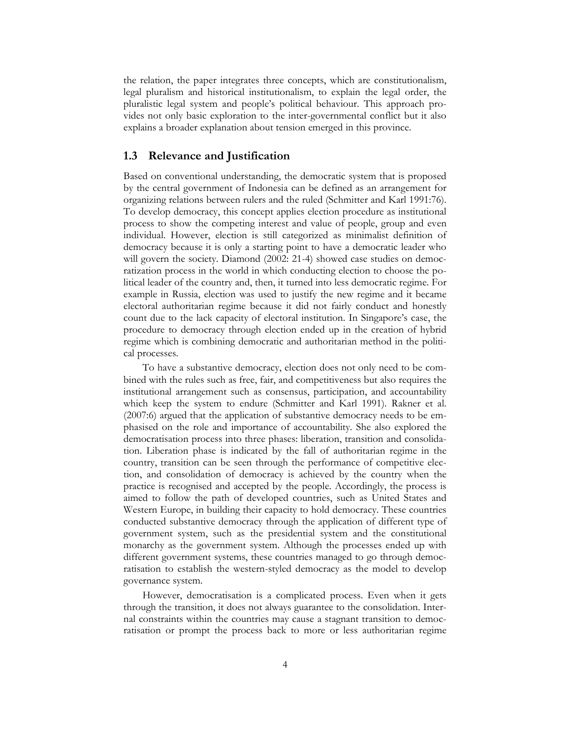the relation, the paper integrates three concepts, which are constitutionalism, legal pluralism and historical institutionalism, to explain the legal order, the pluralistic legal system and people's political behaviour. This approach provides not only basic exploration to the inter-governmental conflict but it also explains a broader explanation about tension emerged in this province.

#### 1.3 Relevance and Justification

Based on conventional understanding, the democratic system that is proposed by the central government of Indonesia can be defined as an arrangement for organizing relations between rulers and the ruled (Schmitter and Karl 1991:76). To develop democracy, this concept applies election procedure as institutional process to show the competing interest and value of people, group and even individual. However, election is still categorized as minimalist definition of democracy because it is only a starting point to have a democratic leader who will govern the society. Diamond (2002: 21-4) showed case studies on democratization process in the world in which conducting election to choose the political leader of the country and, then, it turned into less democratic regime. For example in Russia, election was used to justify the new regime and it became electoral authoritarian regime because it did not fairly conduct and honestly count due to the lack capacity of electoral institution. In Singapore's case, the procedure to democracy through election ended up in the creation of hybrid regime which is combining democratic and authoritarian method in the political processes.

To have a substantive democracy, election does not only need to be combined with the rules such as free, fair, and competitiveness but also requires the institutional arrangement such as consensus, participation, and accountability which keep the system to endure (Schmitter and Karl 1991). Rakner et al. (2007:6) argued that the application of substantive democracy needs to be emphasised on the role and importance of accountability. She also explored the democratisation process into three phases: liberation, transition and consolidation. Liberation phase is indicated by the fall of authoritarian regime in the country, transition can be seen through the performance of competitive election, and consolidation of democracy is achieved by the country when the practice is recognised and accepted by the people. Accordingly, the process is aimed to follow the path of developed countries, such as United States and Western Europe, in building their capacity to hold democracy. These countries conducted substantive democracy through the application of different type of government system, such as the presidential system and the constitutional monarchy as the government system. Although the processes ended up with different government systems, these countries managed to go through democratisation to establish the western-styled democracy as the model to develop governance system.

However, democratisation is a complicated process. Even when it gets through the transition, it does not always guarantee to the consolidation. Internal constraints within the countries may cause a stagnant transition to democratisation or prompt the process back to more or less authoritarian regime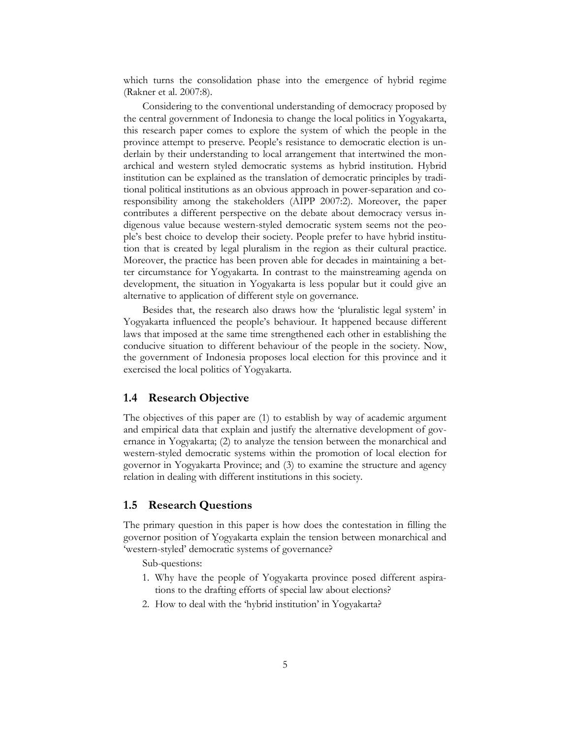which turns the consolidation phase into the emergence of hybrid regime (Rakner et al. 2007:8).

Considering to the conventional understanding of democracy proposed by the central government of Indonesia to change the local politics in Yogyakarta, this research paper comes to explore the system of which the people in the province attempt to preserve. People's resistance to democratic election is underlain by their understanding to local arrangement that intertwined the monarchical and western styled democratic systems as hybrid institution. Hybrid institution can be explained as the translation of democratic principles by traditional political institutions as an obvious approach in power-separation and coresponsibility among the stakeholders (AIPP 2007:2). Moreover, the paper contributes a different perspective on the debate about democracy versus indigenous value because western-styled democratic system seems not the people's best choice to develop their society. People prefer to have hybrid institution that is created by legal pluralism in the region as their cultural practice. Moreover, the practice has been proven able for decades in maintaining a better circumstance for Yogyakarta. In contrast to the mainstreaming agenda on development, the situation in Yogyakarta is less popular but it could give an alternative to application of different style on governance.

Besides that, the research also draws how the 'pluralistic legal system' in Yogyakarta influenced the people's behaviour. It happened because different laws that imposed at the same time strengthened each other in establishing the conducive situation to different behaviour of the people in the society. Now, the government of Indonesia proposes local election for this province and it exercised the local politics of Yogyakarta.

#### 1.4 Research Objective

The objectives of this paper are (1) to establish by way of academic argument and empirical data that explain and justify the alternative development of governance in Yogyakarta; (2) to analyze the tension between the monarchical and western-styled democratic systems within the promotion of local election for governor in Yogyakarta Province; and (3) to examine the structure and agency relation in dealing with different institutions in this society.

#### 1.5 Research Questions

The primary question in this paper is how does the contestation in filling the governor position of Yogyakarta explain the tension between monarchical and 'western-styled' democratic systems of governance?

Sub-questions:

- 1. Why have the people of Yogyakarta province posed different aspirations to the drafting efforts of special law about elections?
- 2. How to deal with the 'hybrid institution' in Yogyakarta?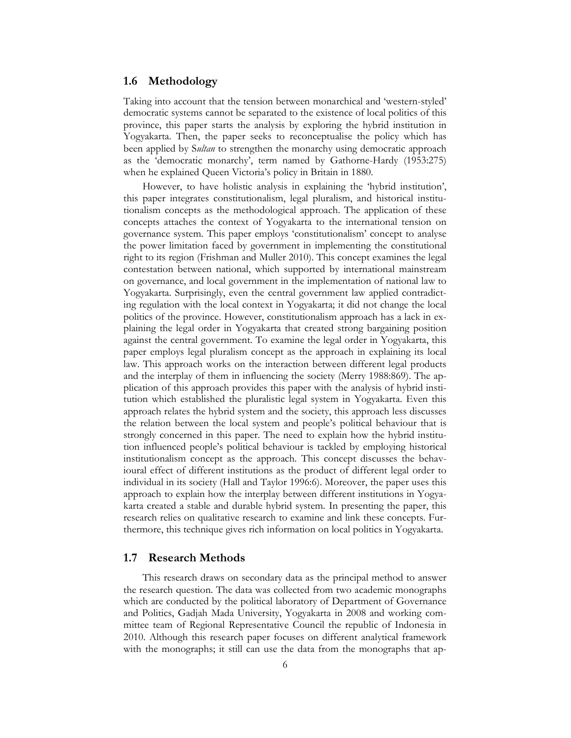#### 1.6 Methodology

Taking into account that the tension between monarchical and 'western-styled' democratic systems cannot be separated to the existence of local politics of this province, this paper starts the analysis by exploring the hybrid institution in Yogyakarta. Then, the paper seeks to reconceptualise the policy which has been applied by Sultan to strengthen the monarchy using democratic approach as the 'democratic monarchy', term named by Gathorne-Hardy (1953:275) when he explained Queen Victoria's policy in Britain in 1880.

However, to have holistic analysis in explaining the 'hybrid institution', this paper integrates constitutionalism, legal pluralism, and historical institutionalism concepts as the methodological approach. The application of these concepts attaches the context of Yogyakarta to the international tension on governance system. This paper employs 'constitutionalism' concept to analyse the power limitation faced by government in implementing the constitutional right to its region (Frishman and Muller 2010). This concept examines the legal contestation between national, which supported by international mainstream on governance, and local government in the implementation of national law to Yogyakarta. Surprisingly, even the central government law applied contradicting regulation with the local context in Yogyakarta; it did not change the local politics of the province. However, constitutionalism approach has a lack in explaining the legal order in Yogyakarta that created strong bargaining position against the central government. To examine the legal order in Yogyakarta, this paper employs legal pluralism concept as the approach in explaining its local law. This approach works on the interaction between different legal products and the interplay of them in influencing the society (Merry 1988:869). The application of this approach provides this paper with the analysis of hybrid institution which established the pluralistic legal system in Yogyakarta. Even this approach relates the hybrid system and the society, this approach less discusses the relation between the local system and people's political behaviour that is strongly concerned in this paper. The need to explain how the hybrid institution influenced people's political behaviour is tackled by employing historical institutionalism concept as the approach. This concept discusses the behavioural effect of different institutions as the product of different legal order to individual in its society (Hall and Taylor 1996:6). Moreover, the paper uses this approach to explain how the interplay between different institutions in Yogyakarta created a stable and durable hybrid system. In presenting the paper, this research relies on qualitative research to examine and link these concepts. Furthermore, this technique gives rich information on local politics in Yogyakarta.

#### 1.7 Research Methods

This research draws on secondary data as the principal method to answer the research question. The data was collected from two academic monographs which are conducted by the political laboratory of Department of Governance and Politics, Gadjah Mada University, Yogyakarta in 2008 and working committee team of Regional Representative Council the republic of Indonesia in 2010. Although this research paper focuses on different analytical framework with the monographs; it still can use the data from the monographs that ap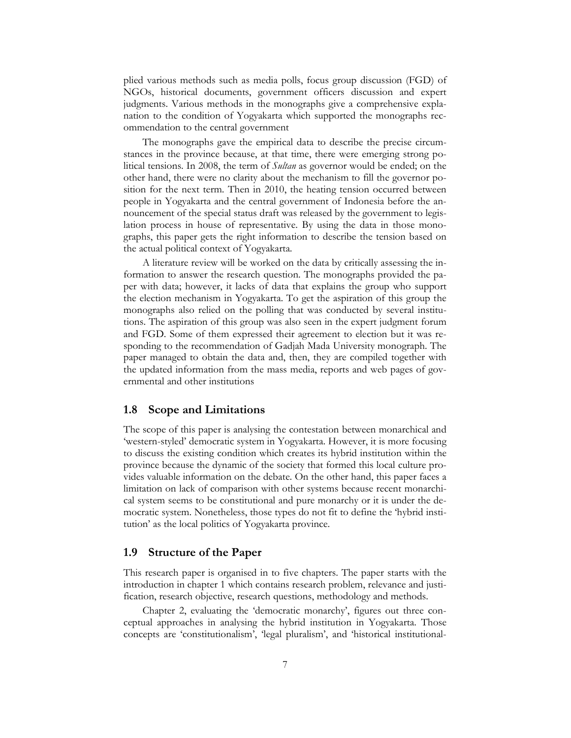plied various methods such as media polls, focus group discussion (FGD) of NGOs, historical documents, government officers discussion and expert judgments. Various methods in the monographs give a comprehensive explanation to the condition of Yogyakarta which supported the monographs recommendation to the central government

The monographs gave the empirical data to describe the precise circumstances in the province because, at that time, there were emerging strong political tensions. In 2008, the term of Sultan as governor would be ended; on the other hand, there were no clarity about the mechanism to fill the governor position for the next term. Then in 2010, the heating tension occurred between people in Yogyakarta and the central government of Indonesia before the announcement of the special status draft was released by the government to legislation process in house of representative. By using the data in those monographs, this paper gets the right information to describe the tension based on the actual political context of Yogyakarta.

A literature review will be worked on the data by critically assessing the information to answer the research question. The monographs provided the paper with data; however, it lacks of data that explains the group who support the election mechanism in Yogyakarta. To get the aspiration of this group the monographs also relied on the polling that was conducted by several institutions. The aspiration of this group was also seen in the expert judgment forum and FGD. Some of them expressed their agreement to election but it was responding to the recommendation of Gadjah Mada University monograph. The paper managed to obtain the data and, then, they are compiled together with the updated information from the mass media, reports and web pages of governmental and other institutions

#### 1.8 Scope and Limitations

The scope of this paper is analysing the contestation between monarchical and 'western-styled' democratic system in Yogyakarta. However, it is more focusing to discuss the existing condition which creates its hybrid institution within the province because the dynamic of the society that formed this local culture provides valuable information on the debate. On the other hand, this paper faces a limitation on lack of comparison with other systems because recent monarchical system seems to be constitutional and pure monarchy or it is under the democratic system. Nonetheless, those types do not fit to define the 'hybrid institution' as the local politics of Yogyakarta province.

#### 1.9 Structure of the Paper

This research paper is organised in to five chapters. The paper starts with the introduction in chapter 1 which contains research problem, relevance and justification, research objective, research questions, methodology and methods.

Chapter 2, evaluating the 'democratic monarchy', figures out three conceptual approaches in analysing the hybrid institution in Yogyakarta. Those concepts are 'constitutionalism', 'legal pluralism', and 'historical institutional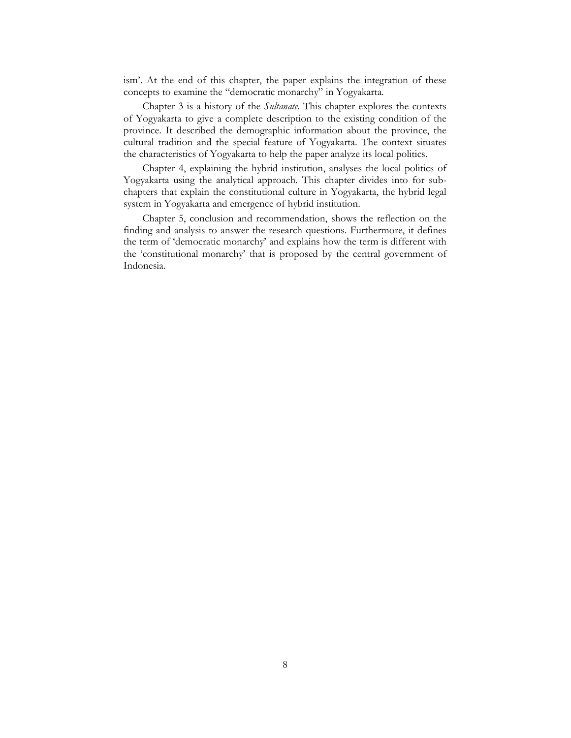ism'. At the end of this chapter, the paper explains the integration of these concepts to examine the "democratic monarchy" in Yogyakarta.

Chapter 3 is a history of the Sultanate. This chapter explores the contexts of Yogyakarta to give a complete description to the existing condition of the province. It described the demographic information about the province, the cultural tradition and the special feature of Yogyakarta. The context situates the characteristics of Yogyakarta to help the paper analyze its local politics.

Chapter 4, explaining the hybrid institution, analyses the local politics of Yogyakarta using the analytical approach. This chapter divides into for subchapters that explain the constitutional culture in Yogyakarta, the hybrid legal system in Yogyakarta and emergence of hybrid institution.

Chapter 5, conclusion and recommendation, shows the reflection on the finding and analysis to answer the research questions. Furthermore, it defines the term of 'democratic monarchy' and explains how the term is different with the 'constitutional monarchy' that is proposed by the central government of Indonesia.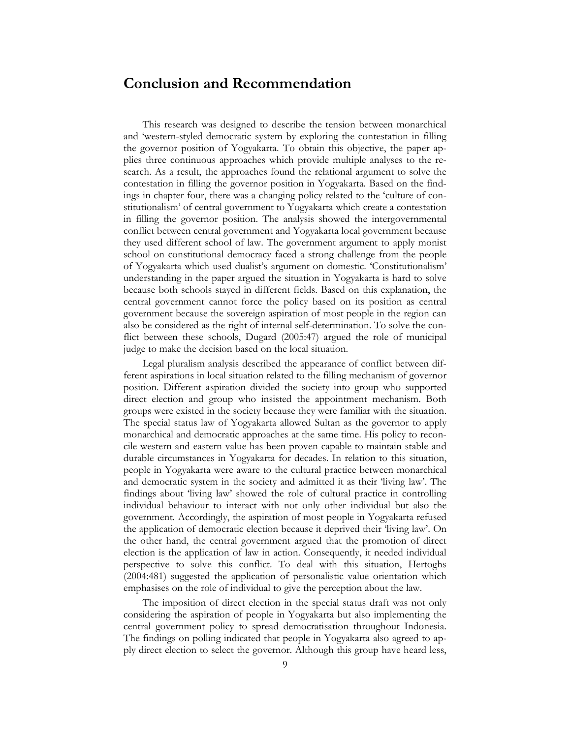## Conclusion and Recommendation

This research was designed to describe the tension between monarchical and 'western-styled democratic system by exploring the contestation in filling the governor position of Yogyakarta. To obtain this objective, the paper applies three continuous approaches which provide multiple analyses to the research. As a result, the approaches found the relational argument to solve the contestation in filling the governor position in Yogyakarta. Based on the findings in chapter four, there was a changing policy related to the 'culture of constitutionalism' of central government to Yogyakarta which create a contestation in filling the governor position. The analysis showed the intergovernmental conflict between central government and Yogyakarta local government because they used different school of law. The government argument to apply monist school on constitutional democracy faced a strong challenge from the people of Yogyakarta which used dualist's argument on domestic. 'Constitutionalism' understanding in the paper argued the situation in Yogyakarta is hard to solve because both schools stayed in different fields. Based on this explanation, the central government cannot force the policy based on its position as central government because the sovereign aspiration of most people in the region can also be considered as the right of internal self-determination. To solve the conflict between these schools, Dugard (2005:47) argued the role of municipal judge to make the decision based on the local situation.

Legal pluralism analysis described the appearance of conflict between different aspirations in local situation related to the filling mechanism of governor position. Different aspiration divided the society into group who supported direct election and group who insisted the appointment mechanism. Both groups were existed in the society because they were familiar with the situation. The special status law of Yogyakarta allowed Sultan as the governor to apply monarchical and democratic approaches at the same time. His policy to reconcile western and eastern value has been proven capable to maintain stable and durable circumstances in Yogyakarta for decades. In relation to this situation, people in Yogyakarta were aware to the cultural practice between monarchical and democratic system in the society and admitted it as their 'living law'. The findings about 'living law' showed the role of cultural practice in controlling individual behaviour to interact with not only other individual but also the government. Accordingly, the aspiration of most people in Yogyakarta refused the application of democratic election because it deprived their 'living law'. On the other hand, the central government argued that the promotion of direct election is the application of law in action. Consequently, it needed individual perspective to solve this conflict. To deal with this situation, Hertoghs (2004:481) suggested the application of personalistic value orientation which emphasises on the role of individual to give the perception about the law.

The imposition of direct election in the special status draft was not only considering the aspiration of people in Yogyakarta but also implementing the central government policy to spread democratisation throughout Indonesia. The findings on polling indicated that people in Yogyakarta also agreed to apply direct election to select the governor. Although this group have heard less,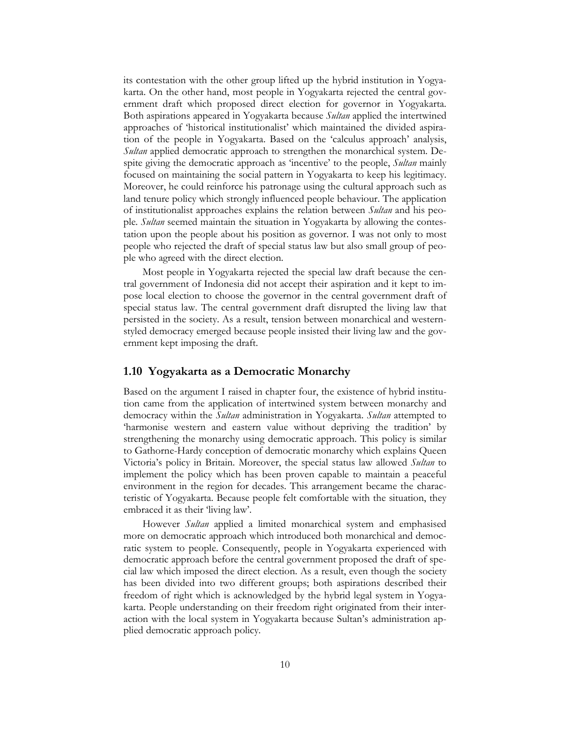its contestation with the other group lifted up the hybrid institution in Yogyakarta. On the other hand, most people in Yogyakarta rejected the central government draft which proposed direct election for governor in Yogyakarta. Both aspirations appeared in Yogyakarta because *Sultan* applied the intertwined approaches of 'historical institutionalist' which maintained the divided aspiration of the people in Yogyakarta. Based on the 'calculus approach' analysis, *Sultan* applied democratic approach to strengthen the monarchical system. Despite giving the democratic approach as 'incentive' to the people, Sultan mainly focused on maintaining the social pattern in Yogyakarta to keep his legitimacy. Moreover, he could reinforce his patronage using the cultural approach such as land tenure policy which strongly influenced people behaviour. The application of institutionalist approaches explains the relation between Sultan and his people. Sultan seemed maintain the situation in Yogyakarta by allowing the contestation upon the people about his position as governor. I was not only to most people who rejected the draft of special status law but also small group of people who agreed with the direct election.

Most people in Yogyakarta rejected the special law draft because the central government of Indonesia did not accept their aspiration and it kept to impose local election to choose the governor in the central government draft of special status law. The central government draft disrupted the living law that persisted in the society. As a result, tension between monarchical and westernstyled democracy emerged because people insisted their living law and the government kept imposing the draft.

#### 1.10 Yogyakarta as a Democratic Monarchy

Based on the argument I raised in chapter four, the existence of hybrid institution came from the application of intertwined system between monarchy and democracy within the *Sultan* administration in Yogyakarta. Sultan attempted to 'harmonise western and eastern value without depriving the tradition' by strengthening the monarchy using democratic approach. This policy is similar to Gathorne-Hardy conception of democratic monarchy which explains Queen Victoria's policy in Britain. Moreover, the special status law allowed Sultan to implement the policy which has been proven capable to maintain a peaceful environment in the region for decades. This arrangement became the characteristic of Yogyakarta. Because people felt comfortable with the situation, they embraced it as their 'living law'.

However *Sultan* applied a limited monarchical system and emphasised more on democratic approach which introduced both monarchical and democratic system to people. Consequently, people in Yogyakarta experienced with democratic approach before the central government proposed the draft of special law which imposed the direct election. As a result, even though the society has been divided into two different groups; both aspirations described their freedom of right which is acknowledged by the hybrid legal system in Yogyakarta. People understanding on their freedom right originated from their interaction with the local system in Yogyakarta because Sultan's administration applied democratic approach policy.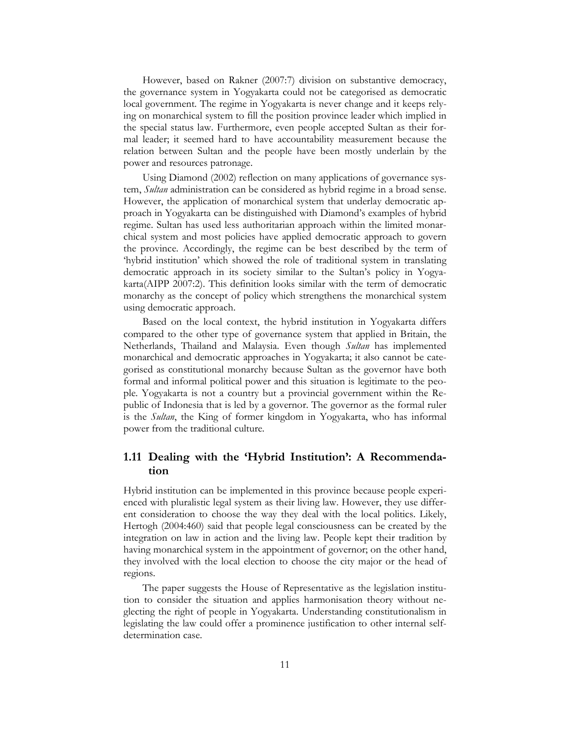However, based on Rakner (2007:7) division on substantive democracy, the governance system in Yogyakarta could not be categorised as democratic local government. The regime in Yogyakarta is never change and it keeps relying on monarchical system to fill the position province leader which implied in the special status law. Furthermore, even people accepted Sultan as their formal leader; it seemed hard to have accountability measurement because the relation between Sultan and the people have been mostly underlain by the power and resources patronage.

Using Diamond (2002) reflection on many applications of governance system, Sultan administration can be considered as hybrid regime in a broad sense. However, the application of monarchical system that underlay democratic approach in Yogyakarta can be distinguished with Diamond's examples of hybrid regime. Sultan has used less authoritarian approach within the limited monarchical system and most policies have applied democratic approach to govern the province. Accordingly, the regime can be best described by the term of 'hybrid institution' which showed the role of traditional system in translating democratic approach in its society similar to the Sultan's policy in Yogyakarta(AIPP 2007:2). This definition looks similar with the term of democratic monarchy as the concept of policy which strengthens the monarchical system using democratic approach.

Based on the local context, the hybrid institution in Yogyakarta differs compared to the other type of governance system that applied in Britain, the Netherlands, Thailand and Malaysia. Even though Sultan has implemented monarchical and democratic approaches in Yogyakarta; it also cannot be categorised as constitutional monarchy because Sultan as the governor have both formal and informal political power and this situation is legitimate to the people. Yogyakarta is not a country but a provincial government within the Republic of Indonesia that is led by a governor. The governor as the formal ruler is the Sultan, the King of former kingdom in Yogyakarta, who has informal power from the traditional culture.

#### 1.11 Dealing with the 'Hybrid Institution': A Recommendation

Hybrid institution can be implemented in this province because people experienced with pluralistic legal system as their living law. However, they use different consideration to choose the way they deal with the local politics. Likely, Hertogh (2004:460) said that people legal consciousness can be created by the integration on law in action and the living law. People kept their tradition by having monarchical system in the appointment of governor; on the other hand, they involved with the local election to choose the city major or the head of regions.

The paper suggests the House of Representative as the legislation institution to consider the situation and applies harmonisation theory without neglecting the right of people in Yogyakarta. Understanding constitutionalism in legislating the law could offer a prominence justification to other internal selfdetermination case.